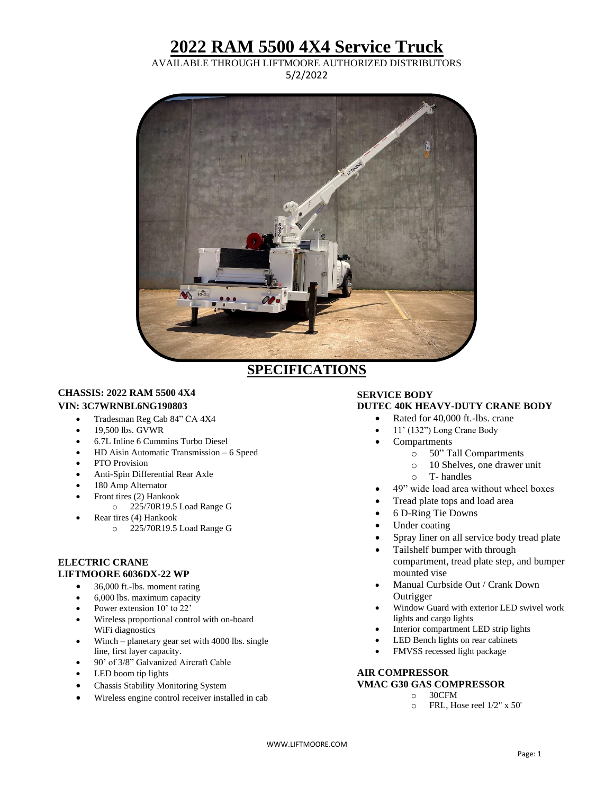## **2022 RAM 5500 4X4 Service Truck**

AVAILABLE THROUGH LIFTMOORE AUTHORIZED DISTRIBUTORS

5/2/2022



### **SPECIFICATIONS**

#### **CHASSIS: 2022 RAM 5500 4X4**

#### **VIN: 3C7WRNBL6NG190803**

- Tradesman Reg Cab 84" CA 4X4
- $\bullet$  19.500 lbs. GVWR
- 6.7L Inline 6 Cummins Turbo Diesel
- HD Aisin Automatic Transmission 6 Speed
- PTO Provision
- Anti-Spin Differential Rear Axle
- 180 Amp Alternator
- Front tires (2) Hankook
	- o 225/70R19.5 Load Range G
- Rear tires (4) Hankook
	- o 225/70R19.5 Load Range G

#### **ELECTRIC CRANE LIFTMOORE 6036DX-22 WP**

- 36,000 ft.-lbs. moment rating
- 6,000 lbs. maximum capacity
- Power extension 10' to 22'
- Wireless proportional control with on-board WiFi diagnostics
- Winch planetary gear set with 4000 lbs. single line, first layer capacity.
- 90' of 3/8" Galvanized Aircraft Cable
- LED boom tip lights
- Chassis Stability Monitoring System
- Wireless engine control receiver installed in cab

### **SERVICE BODY**

- **DUTEC 40K HEAVY-DUTY CRANE BODY**
	- Rated for 40,000 ft.-lbs. crane
	- 11' (132") Long Crane Body
	- Compartments
		- o 50" Tall Compartments
		- o 10 Shelves, one drawer unit
		- o T- handles
	- 49" wide load area without wheel boxes
	- Tread plate tops and load area
	- 6 D-Ring Tie Downs
	- Under coating
	- Spray liner on all service body tread plate
	- Tailshelf bumper with through compartment, tread plate step, and bumper mounted vise
	- Manual Curbside Out / Crank Down **Outrigger**
	- Window Guard with exterior LED swivel work lights and cargo lights
	- Interior compartment LED strip lights
	- LED Bench lights on rear cabinets
	- FMVSS recessed light package

#### **AIR COMPRESSOR VMAC G30 GAS COMPRESSOR**

- o 30CFM
- o FRL, Hose reel 1/2" x 50'